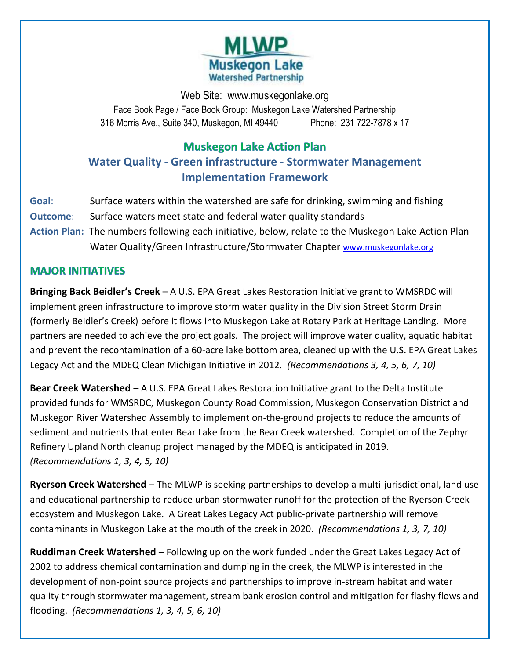

Web Site: [www.muskegonlake.org](http://www.muskegonlake.org/) Face Book Page / Face Book Group: Muskegon Lake Watershed Partnership 316 Morris Ave., Suite 340, Muskegon, MI 49440 Phone: 231 722-7878 x 17

# **Muskegon Lake Action Plan**

**Water Quality - Green infrastructure - Stormwater Management Implementation Framework**

- **Goal**: Surface waters within the watershed are safe for drinking, swimming and fishing
- **Outcome**: Surface waters meet state and federal water quality standards
- **Action Plan:** The numbers following each initiative, below, relate to the Muskegon Lake Action Plan Water Quality/Green Infrastructure/Stormwater Chapter [www.muskegonlake.org](http://www.muskegonlake.org/)

# **MAJOR INITIATIVES**

**Bringing Back Beidler's Creek** – A U.S. EPA Great Lakes Restoration Initiative grant to WMSRDC will implement green infrastructure to improve storm water quality in the Division Street Storm Drain (formerly Beidler's Creek) before it flows into Muskegon Lake at Rotary Park at Heritage Landing. More partners are needed to achieve the project goals. The project will improve water quality, aquatic habitat and prevent the recontamination of a 60-acre lake bottom area, cleaned up with the U.S. EPA Great Lakes Legacy Act and the MDEQ Clean Michigan Initiative in 2012. *(Recommendations 3, 4, 5, 6, 7, 10)*

**Bear Creek Watershed** – A U.S. EPA Great Lakes Restoration Initiative grant to the Delta Institute provided funds for WMSRDC, Muskegon County Road Commission, Muskegon Conservation District and Muskegon River Watershed Assembly to implement on-the-ground projects to reduce the amounts of sediment and nutrients that enter Bear Lake from the Bear Creek watershed. Completion of the Zephyr Refinery Upland North cleanup project managed by the MDEQ is anticipated in 2019. *(Recommendations 1, 3, 4, 5, 10)*

**Ryerson Creek Watershed** – The MLWP is seeking partnerships to develop a multi-jurisdictional, land use and educational partnership to reduce urban stormwater runoff for the protection of the Ryerson Creek ecosystem and Muskegon Lake. A Great Lakes Legacy Act public-private partnership will remove contaminants in Muskegon Lake at the mouth of the creek in 2020. *(Recommendations 1, 3, 7, 10)*

**Ruddiman Creek Watershed** – Following up on the work funded under the Great Lakes Legacy Act of 2002 to address chemical contamination and dumping in the creek, the MLWP is interested in the development of non-point source projects and partnerships to improve in-stream habitat and water quality through stormwater management, stream bank erosion control and mitigation for flashy flows and flooding. *(Recommendations 1, 3, 4, 5, 6, 10)*